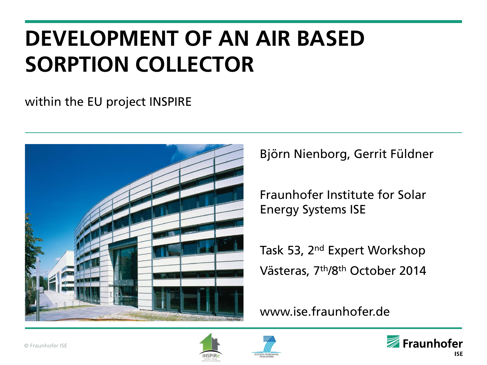# **DEVELOPMENT OF AN AIR BASED SORPTION COLLECTOR**

#### within the EU project INSPIRE



Björn Nienborg, Gerrit Füldner

Fraunhofer Institute for Solar Energy Systems ISE

Task 53, 2<sup>nd</sup> Expert Workshop Västeras, 7th/8th October 2014

#### www.ise.fraunhofer.de





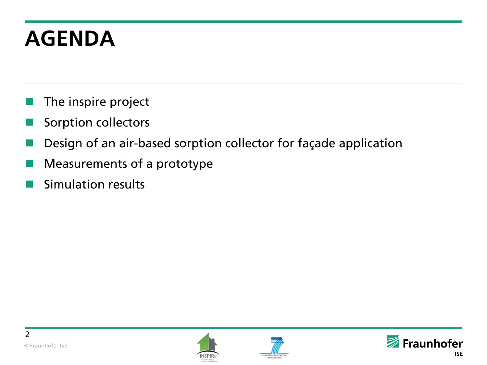# **AGENDA**

- The inspire project
- Sorption collectors
- Design of an air-based sorption collector for façade application
- Measurements of a prototype
- Simulation results





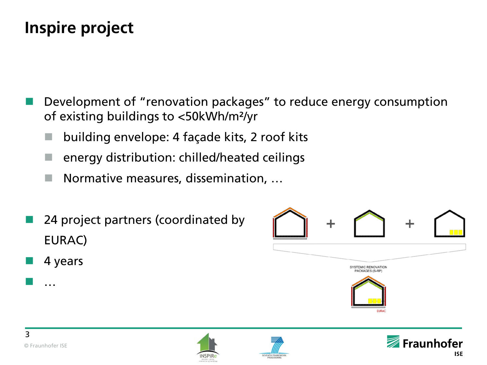# **Inspire project**

- Development of "renovation packages" to reduce energy consumption of existing buildings to <50kWh/m²/yr
	- building envelope: 4 façade kits, 2 roof kits
	- energy distribution: chilled/heated ceilings
	- Normative measures, dissemination, …
- 24 project partners (coordinated by EURAC)
- 4 years



…





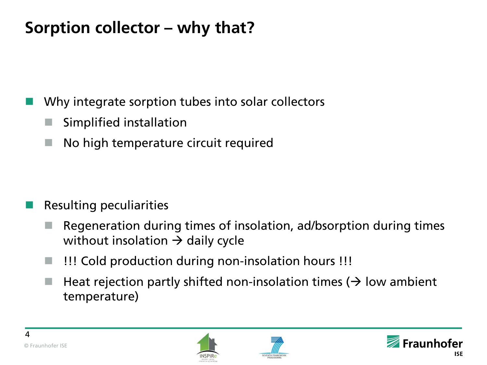# **Sorption collector – why that?**

Why integrate sorption tubes into solar collectors

- Simplified installation
- No high temperature circuit required

- Resulting peculiarities
	- Regeneration during times of insolation, ad/bsorption during times without insolation  $\rightarrow$  daily cycle
	- !!! Cold production during non-insolation hours !!!
	- Heat rejection partly shifted non-insolation times  $(\rightarrow)$  low ambient temperature)





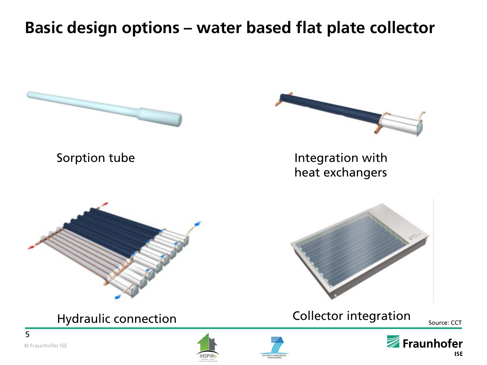## **Basic design options – water based flat plate collector**

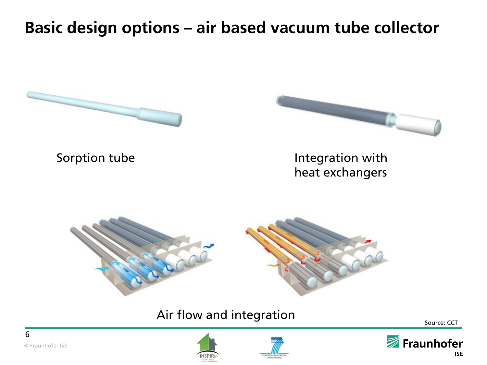## **Basic design options – air based vacuum tube collector**







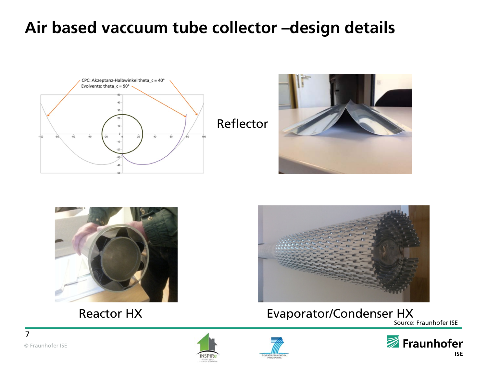# **Air based vaccuum tube collector –design details**









#### Reactor HX **Evaporator/Condenser HX**

Source: Fraunhofer ISE





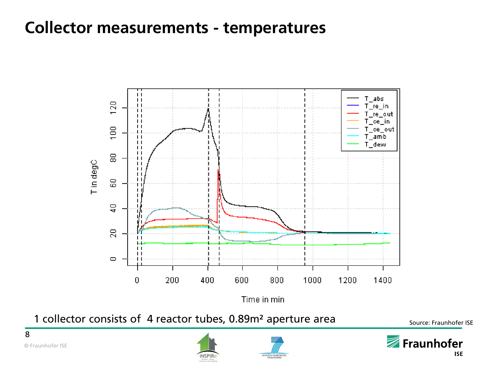### **Collector measurements - temperatures**



1 collector consists of 4 reactor tubes, 0.89m<sup>2</sup> aperture area source: Fraunhofer ISE





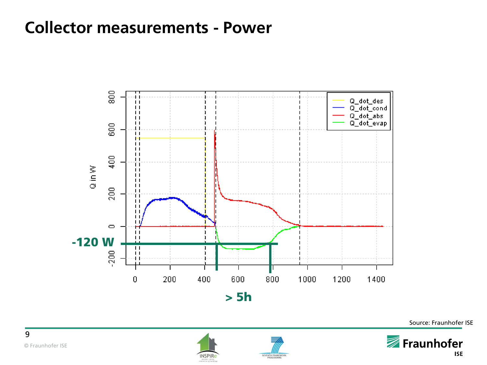#### **Collector measurements - Power**



Source: Fraunhofer ISE





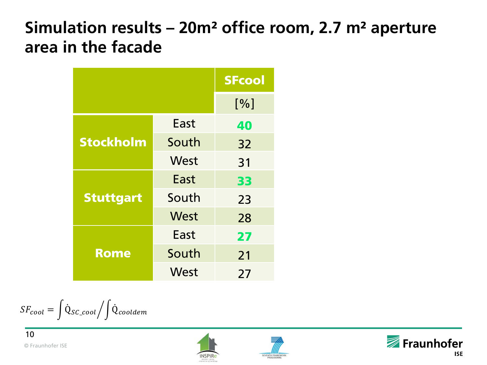## **Simulation results – 20m² office room, 2.7 m² aperture area in the facade**

|                  |       | <b>SFcool</b> |
|------------------|-------|---------------|
|                  |       | [%]           |
| <b>Stockholm</b> | East  | 40            |
|                  | South | 32            |
|                  | West  | 31            |
| <b>Stuttgart</b> | East  | 33            |
|                  | South | 23            |
|                  | West  | 28            |
| <b>Rome</b>      | East  | 27            |
|                  | South | 21            |
|                  | West  | 27            |

 $\begin{equation} SF_{cool} = \begin{bmatrix} \text{Q}_{SC\_cool} / \end{bmatrix} \text{Q}_{cooldem}$ 





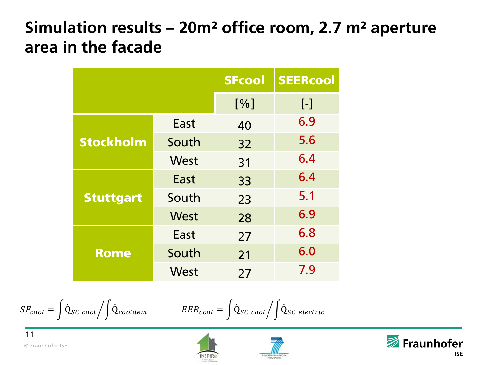# **Simulation results – 20m² office room, 2.7 m² aperture area in the facade**

|                  |       | <b>SFcool</b> | <b>SEERcool</b>   |
|------------------|-------|---------------|-------------------|
|                  |       | [%]           | $\lceil - \rceil$ |
| <b>Stockholm</b> | East  | 40            | 6.9               |
|                  | South | 32            | 5.6               |
|                  | West  | 31            | 6.4               |
| <b>Stuttgart</b> | East  | 33            | 6.4               |
|                  | South | 23            | 5.1               |
|                  | West  | 28            | 6.9               |
| <b>Rome</b>      | East  | 27            | 6.8               |
|                  | South | 21            | 6.0               |
|                  | West  | 27            | 7.9               |

$$
SF_{cool} = \int \dot{Q}_{SC\_cool} / \int \dot{Q}_{cooldem}
$$
 
$$
EER_{cool} = \int \dot{Q}_{SC\_cool} / \int \dot{Q}_{SC\_electric}
$$





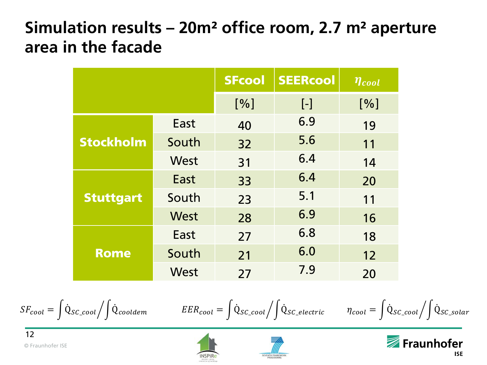# **Simulation results – 20m² office room, 2.7 m² aperture area in the facade**

|                  |       | <b>SFcool</b> | <b>SEERcool</b> | $\eta_{cool}$ |
|------------------|-------|---------------|-----------------|---------------|
|                  |       | [%]           | $[\cdot]$       | [%]           |
| <b>Stockholm</b> | East  | 40            | 6.9             | 19            |
|                  | South | 32            | 5.6             | 11            |
|                  | West  | 31            | 6.4             | 14            |
| <b>Stuttgart</b> | East  | 33            | 6.4             | 20            |
|                  | South | 23            | 5.1             | 11            |
|                  | West  | 28            | 6.9             | 16            |
| <b>Rome</b>      | East  | 27            | 6.8             | 18            |
|                  | South | 21            | 6.0             | 12            |
|                  | West  | 27            | 7.9             | 20            |

$$
SF_{cool} = \int \dot{Q}_{SC\_cool} / \int \dot{Q}_{cooldem}
$$
  
 
$$
EER_{cool} = \int \dot{Q}_{SC\_cool} / \int \dot{Q}_{SC\_electric}
$$
  
 
$$
\eta_{cool} = \int \dot{Q}_{SC\_cool} / \int \dot{Q}_{SC\_solid}
$$





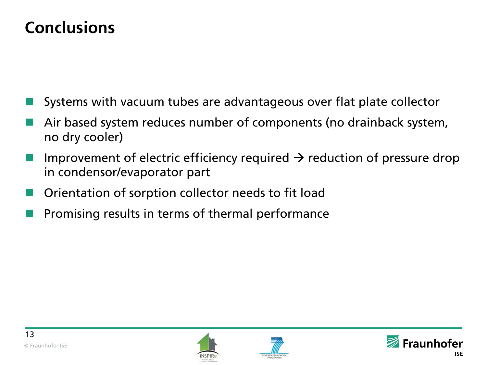## **Conclusions**

- Systems with vacuum tubes are advantageous over flat plate collector
- Air based system reduces number of components (no drainback system, no dry cooler)
- Improvement of electric efficiency required  $\rightarrow$  reduction of pressure drop in condensor/evaporator part
- Orientation of sorption collector needs to fit load
- Promising results in terms of thermal performance





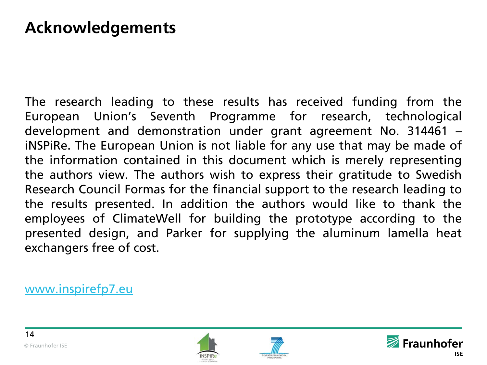### **Acknowledgements**

The research leading to these results has received funding from the European Union's Seventh Programme for research, technological development and demonstration under grant agreement No. 314461 – iNSPiRe. The European Union is not liable for any use that may be made of the information contained in this document which is merely representing the authors view. The authors wish to express their gratitude to Swedish Research Council Formas for the financial support to the research leading to the results presented. In addition the authors would like to thank the employees of ClimateWell for building the prototype according to the presented design, and Parker for supplying the aluminum lamella heat exchangers free of cost.

[www.inspirefp7.eu](http://www.inspirefp7.eu/)